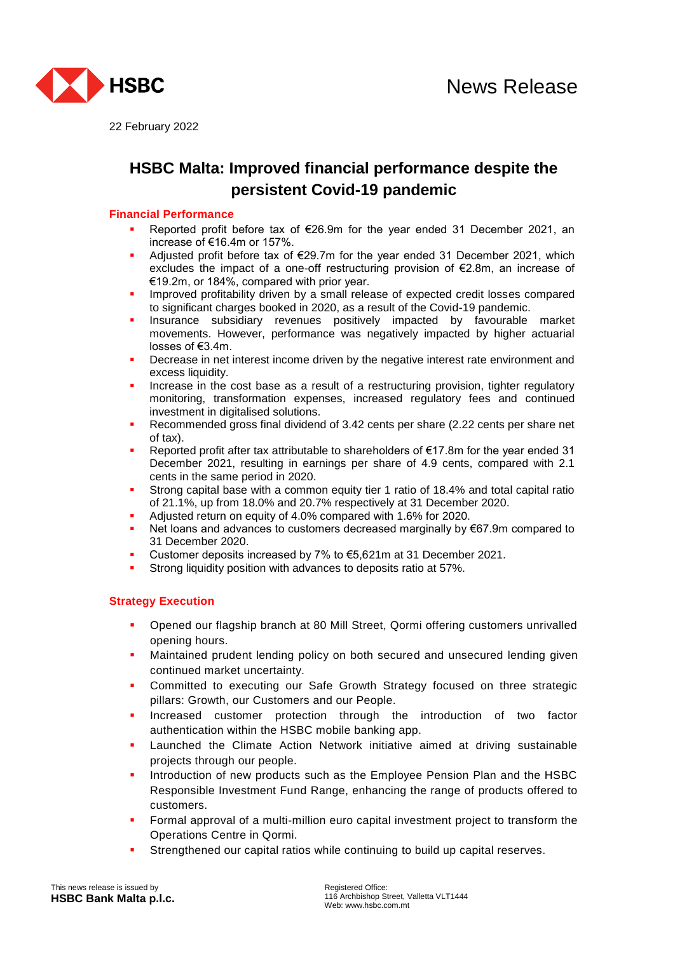

22 February 2022

# **HSBC Malta: Improved financial performance despite the persistent Covid-19 pandemic**

## **Financial Performance**

- Reported profit before tax of €26.9m for the year ended 31 December 2021, an increase of €16.4m or 157%.
- Adjusted profit before tax of €29.7m for the year ended 31 December 2021, which excludes the impact of a one-off restructuring provision of €2.8m, an increase of €19.2m, or 184%, compared with prior year.
- Improved profitability driven by a small release of expected credit losses compared to significant charges booked in 2020, as a result of the Covid-19 pandemic.
- Insurance subsidiary revenues positively impacted by favourable market movements. However, performance was negatively impacted by higher actuarial losses of €3.4m.
- Decrease in net interest income driven by the negative interest rate environment and excess liquidity.
- Increase in the cost base as a result of a restructuring provision, tighter regulatory monitoring, transformation expenses, increased regulatory fees and continued investment in digitalised solutions.
- Recommended gross final dividend of 3.42 cents per share (2.22 cents per share net of tax).
- Reported profit after tax attributable to shareholders of €17.8m for the year ended 31 December 2021, resulting in earnings per share of 4.9 cents, compared with 2.1 cents in the same period in 2020.
- Strong capital base with a common equity tier 1 ratio of 18.4% and total capital ratio of 21.1%, up from 18.0% and 20.7% respectively at 31 December 2020.
- Adjusted return on equity of 4.0% compared with 1.6% for 2020.
- Net loans and advances to customers decreased marginally by €67.9m compared to 31 December 2020.
- Customer deposits increased by 7% to €5,621m at 31 December 2021.
- Strong liquidity position with advances to deposits ratio at 57%.

# **Strategy Execution**

- Opened our flagship branch at 80 Mill Street, Qormi offering customers unrivalled opening hours.
- Maintained prudent lending policy on both secured and unsecured lending given continued market uncertainty.
- Committed to executing our Safe Growth Strategy focused on three strategic pillars: Growth, our Customers and our People.
- Increased customer protection through the introduction of two factor authentication within the HSBC mobile banking app.
- Launched the Climate Action Network initiative aimed at driving sustainable projects through our people.
- Introduction of new products such as the Employee Pension Plan and the HSBC Responsible Investment Fund Range, enhancing the range of products offered to customers.
- Formal approval of a multi-million euro capital investment project to transform the Operations Centre in Qormi.
- Strengthened our capital ratios while continuing to build up capital reserves.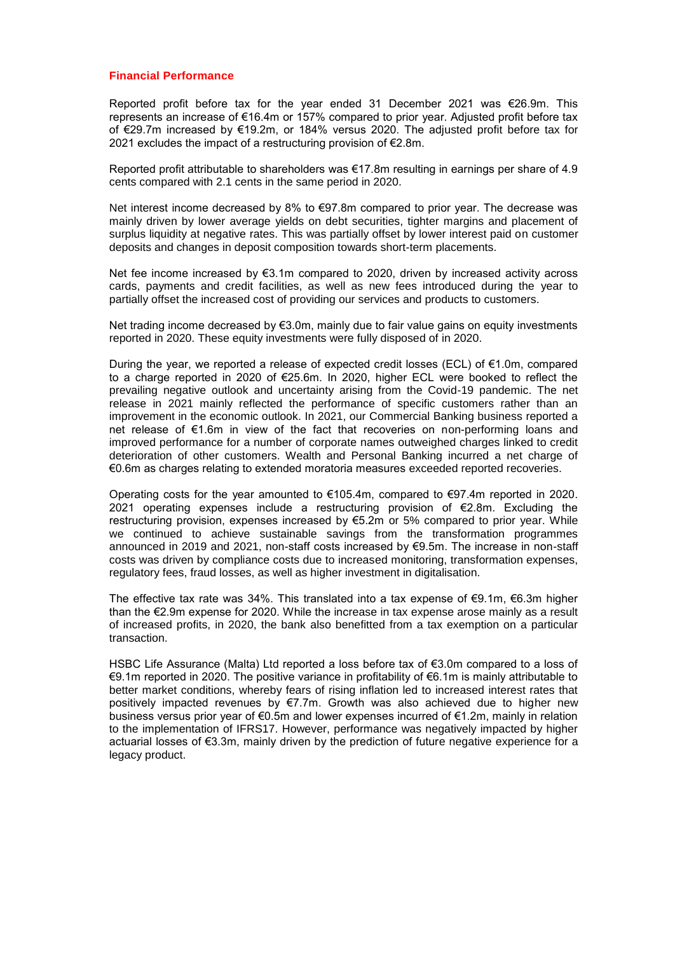## **Financial Performance**

Reported profit before tax for the year ended 31 December 2021 was €26.9m. This represents an increase of €16.4m or 157% compared to prior year. Adjusted profit before tax of €29.7m increased by €19.2m, or 184% versus 2020. The adjusted profit before tax for 2021 excludes the impact of a restructuring provision of €2.8m.

Reported profit attributable to shareholders was €17.8m resulting in earnings per share of 4.9 cents compared with 2.1 cents in the same period in 2020.

Net interest income decreased by 8% to  $\epsilon$ 97.8m compared to prior year. The decrease was mainly driven by lower average yields on debt securities, tighter margins and placement of surplus liquidity at negative rates. This was partially offset by lower interest paid on customer deposits and changes in deposit composition towards short-term placements.

Net fee income increased by €3.1m compared to 2020, driven by increased activity across cards, payments and credit facilities, as well as new fees introduced during the year to partially offset the increased cost of providing our services and products to customers.

Net trading income decreased by €3.0m, mainly due to fair value gains on equity investments reported in 2020. These equity investments were fully disposed of in 2020.

During the year, we reported a release of expected credit losses (ECL) of €1.0m, compared to a charge reported in 2020 of €25.6m. In 2020, higher ECL were booked to reflect the prevailing negative outlook and uncertainty arising from the Covid-19 pandemic. The net release in 2021 mainly reflected the performance of specific customers rather than an improvement in the economic outlook. In 2021, our Commercial Banking business reported a net release of €1.6m in view of the fact that recoveries on non-performing loans and improved performance for a number of corporate names outweighed charges linked to credit deterioration of other customers. Wealth and Personal Banking incurred a net charge of €0.6m as charges relating to extended moratoria measures exceeded reported recoveries.

Operating costs for the year amounted to  $\epsilon$ 105.4m, compared to  $\epsilon$ 97.4m reported in 2020. 2021 operating expenses include a restructuring provision of  $\epsilon$ 2.8m. Excluding the restructuring provision, expenses increased by €5.2m or 5% compared to prior year. While we continued to achieve sustainable savings from the transformation programmes announced in 2019 and 2021, non-staff costs increased by €9.5m. The increase in non-staff costs was driven by compliance costs due to increased monitoring, transformation expenses, regulatory fees, fraud losses, as well as higher investment in digitalisation.

The effective tax rate was 34%. This translated into a tax expense of  $\epsilon$ 9.1m,  $\epsilon$ 6.3m higher than the €2.9m expense for 2020. While the increase in tax expense arose mainly as a result of increased profits, in 2020, the bank also benefitted from a tax exemption on a particular transaction.

HSBC Life Assurance (Malta) Ltd reported a loss before tax of €3.0m compared to a loss of €9.1m reported in 2020. The positive variance in profitability of €6.1m is mainly attributable to better market conditions, whereby fears of rising inflation led to increased interest rates that positively impacted revenues by €7.7m. Growth was also achieved due to higher new business versus prior year of €0.5m and lower expenses incurred of €1.2m, mainly in relation to the implementation of IFRS17. However, performance was negatively impacted by higher actuarial losses of €3.3m, mainly driven by the prediction of future negative experience for a legacy product.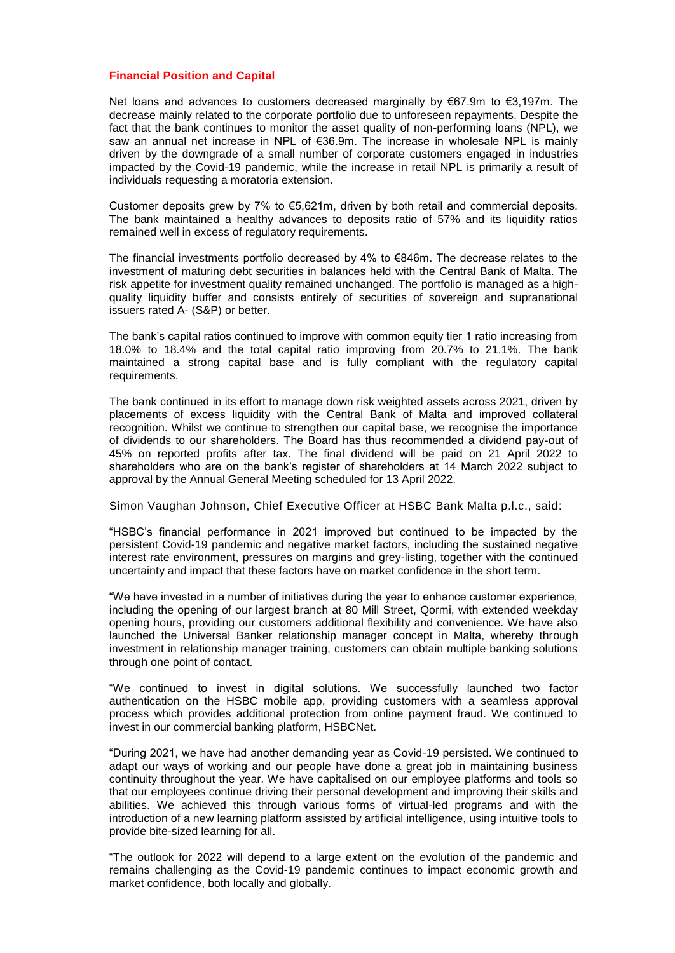## **Financial Position and Capital**

Net loans and advances to customers decreased marginally by  $\epsilon$ 67.9m to  $\epsilon$ 3,197m. The decrease mainly related to the corporate portfolio due to unforeseen repayments. Despite the fact that the bank continues to monitor the asset quality of non-performing loans (NPL), we saw an annual net increase in NPL of €36.9m. The increase in wholesale NPL is mainly driven by the downgrade of a small number of corporate customers engaged in industries impacted by the Covid-19 pandemic, while the increase in retail NPL is primarily a result of individuals requesting a moratoria extension.

Customer deposits grew by 7% to  $\epsilon$ 5.621m, driven by both retail and commercial deposits. The bank maintained a healthy advances to deposits ratio of 57% and its liquidity ratios remained well in excess of regulatory requirements.

The financial investments portfolio decreased by 4% to €846m. The decrease relates to the investment of maturing debt securities in balances held with the Central Bank of Malta. The risk appetite for investment quality remained unchanged. The portfolio is managed as a highquality liquidity buffer and consists entirely of securities of sovereign and supranational issuers rated A- (S&P) or better.

The bank's capital ratios continued to improve with common equity tier 1 ratio increasing from 18.0% to 18.4% and the total capital ratio improving from 20.7% to 21.1%. The bank maintained a strong capital base and is fully compliant with the regulatory capital requirements.

The bank continued in its effort to manage down risk weighted assets across 2021, driven by placements of excess liquidity with the Central Bank of Malta and improved collateral recognition. Whilst we continue to strengthen our capital base, we recognise the importance of dividends to our shareholders. The Board has thus recommended a dividend pay-out of 45% on reported profits after tax. The final dividend will be paid on 21 April 2022 to shareholders who are on the bank's register of shareholders at 14 March 2022 subject to approval by the Annual General Meeting scheduled for 13 April 2022.

Simon Vaughan Johnson, Chief Executive Officer at HSBC Bank Malta p.l.c., said:

"HSBC's financial performance in 2021 improved but continued to be impacted by the persistent Covid-19 pandemic and negative market factors, including the sustained negative interest rate environment, pressures on margins and grey-listing, together with the continued uncertainty and impact that these factors have on market confidence in the short term.

"We have invested in a number of initiatives during the year to enhance customer experience, including the opening of our largest branch at 80 Mill Street, Qormi, with extended weekday opening hours, providing our customers additional flexibility and convenience. We have also launched the Universal Banker relationship manager concept in Malta, whereby through investment in relationship manager training, customers can obtain multiple banking solutions through one point of contact.

"We continued to invest in digital solutions. We successfully launched two factor authentication on the HSBC mobile app, providing customers with a seamless approval process which provides additional protection from online payment fraud. We continued to invest in our commercial banking platform, HSBCNet.

"During 2021, we have had another demanding year as Covid-19 persisted. We continued to adapt our ways of working and our people have done a great job in maintaining business continuity throughout the year. We have capitalised on our employee platforms and tools so that our employees continue driving their personal development and improving their skills and abilities. We achieved this through various forms of virtual-led programs and with the introduction of a new learning platform assisted by artificial intelligence, using intuitive tools to provide bite-sized learning for all.

"The outlook for 2022 will depend to a large extent on the evolution of the pandemic and remains challenging as the Covid-19 pandemic continues to impact economic growth and market confidence, both locally and globally.